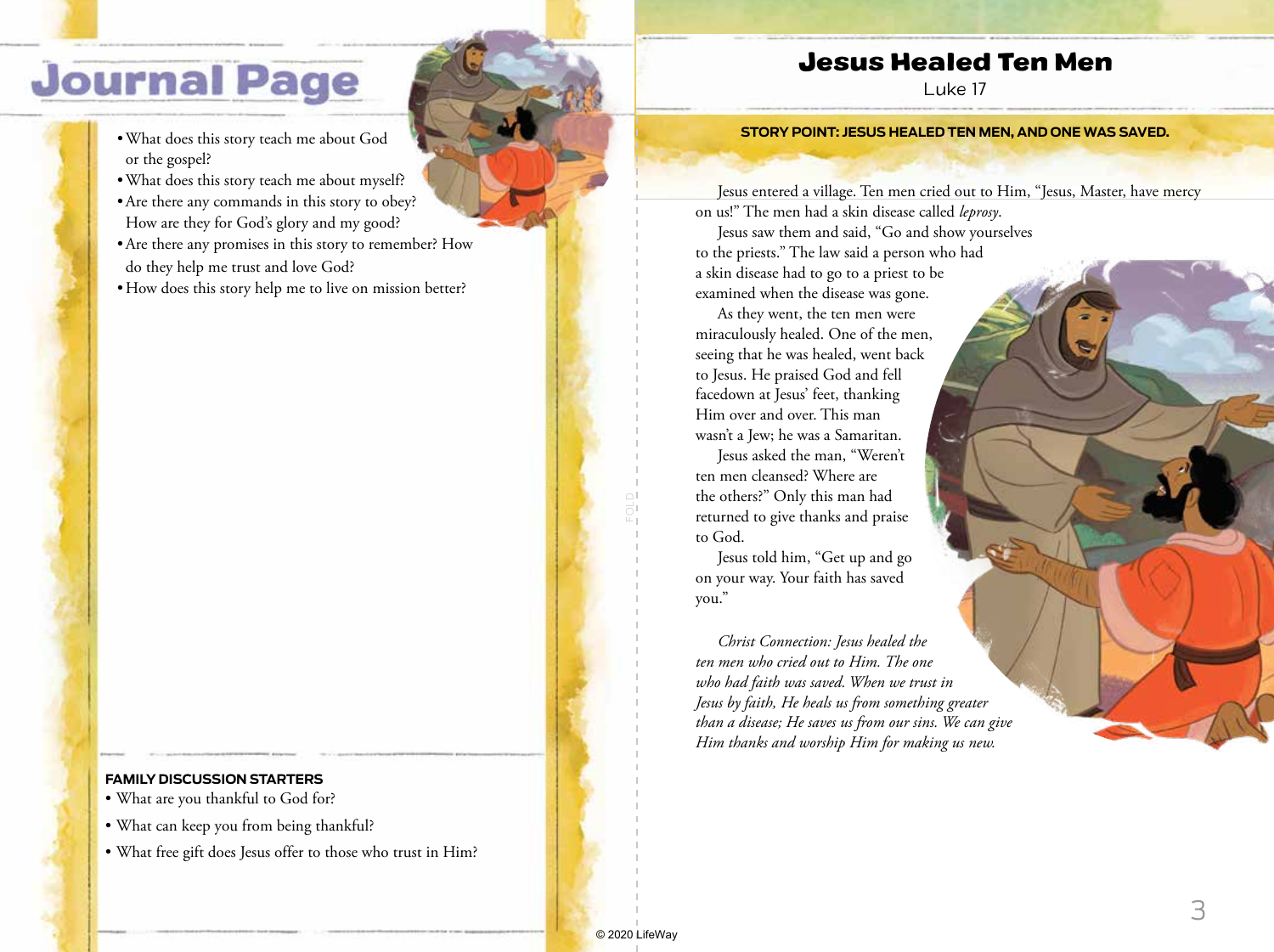## **Journal Page**

- •What does this story teach me about God or the gospel?
- •What does this story teach me about myself?
- •Are there any commands in this story to obey? How are they for God's glory and my good?
- •Are there any promises in this story to remember? How do they help me trust and love God?
- How does this story help me to live on mission better?

## **FAMILY DISCUSSION STARTERS**

- What are you thankful to God for?
- What can keep you from being thankful?
- What free gift does Jesus offer to those who trust in Him?

## Jesus Healed Ten Men

Luke 17

## **STORY POINT: JESUS HEALED TEN MEN, AND ONE WAS SAVED.**

Jesus entered a village. Ten men cried out to Him, "Jesus, Master, have mercy on us!" The men had a skin disease called *leprosy*.

Jesus saw them and said, "Go and show yourselves to the priests." The law said a person who had a skin disease had to go to a priest to be examined when the disease was gone.

As they went, the ten men were miraculously healed. One of the men, seeing that he was healed, went back to Jesus. He praised God and fell facedown at Jesus' feet, thanking Him over and over. This man wasn't a Jew; he was a Samaritan.

Jesus asked the man, "Weren't ten men cleansed? Where are the others?" Only this man had returned to give thanks and praise to God.

Jesus told him, "Get up and go on your way. Your faith has saved you."

*Christ Connection: Jesus healed the ten men who cried out to Him. The one who had faith was saved. When we trust in Jesus by faith, He heals us from something greater than a disease; He saves us from our sins. We can give Him thanks and worship Him for making us new.*

3